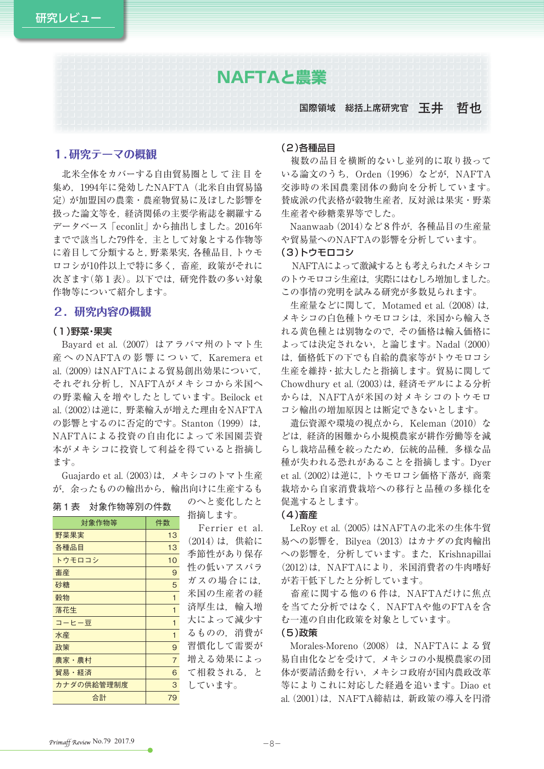# **NAFTAと農業**

# **国際領域 総括上席研究官 玉井 哲也**

## **1.研究テーマの概観**

 北米全体をカバーする自由貿易圏とし て 注 目 を 集め、1994年に発効したNAFTA (北米自由貿易協 定)が加盟国の農業・農産物貿易に及ぼした影響を 扱った論文等を,経済関係の主要学術誌を網羅する データベース「econlit」から抽出しました。2016年 までで該当した79件を,主として対象とする作物等 に着目して分類すると,野菜果実,各種品目,トウモ ロコシが10件以上で特に多く,畜産,政策がそれに 次ぎます(第1表)。以下では、研究件数の多い対象 作物等について紹介します。

# **2.研究内容の概観**

## (1)野菜・果実

 Bayard et al.(2007)はアラバマ州のトマト生 産へのNAFTAの影響について, Karemera et al.(2009)はNAFTAによる貿易創出効果について, それぞれ分析し,NAFTAがメキシコから米国へ の野菜輸入を増やしたとしています。Beilock et al.(2002)は逆に,野菜輸入が増えた理由をNAFTA の影響とするのに否定的です。Stanton (1999) は, NAFTAによる投資の自由化によって米国園芸資 本がメキシコに投資して利益を得ていると指摘し ます。

 Guajardo et al.(2003)は,メキシコのトマト生産 が,余ったものの輸出から,輸出向けに生産するも

#### 第1表 対象作物等別の件数

| 対象作物等      | 件数             |
|------------|----------------|
| 野菜果実       | 13             |
| 各種品目       | 13             |
| トウモロコシ     | 10             |
| 畜産         | 9              |
| 砂糖         | 5              |
| 穀物         | 1              |
| 落花生        | 1              |
| コーヒー豆      | 1              |
| 水産         | 1              |
| 政策         | 9              |
| 農家・農村      | $\overline{7}$ |
| 貿易・経済      | 6              |
| カナダの供給管理制度 | 3              |
| 合計         | 79             |

のへと変化したと 指摘します。

Ferrier et al. (2014)は,供給に 季節性があり保存 性の低いアスパラ ガスの場合には, 米国の生産者の経 済厚生は、輸入増 大によって減少す るものの,消費が 習慣化して需要が 増える効果によっ て相殺される,と しています。

## (2)各種品目

 複数の品目を横断的ないし並列的に取り扱って いる論文のうち, Orden (1996) などが, NAFTA 交渉時の米国農業団体の動向を分析しています。 賛成派の代表格が穀物生産者,反対派は果実・野菜 生産者や砂糖業界等でした。

 Naanwaab(2014)など8件が,各種品目の生産量 や貿易量へのNAFTAの影響を分析しています。

#### (3)トウモロコシ

NAFTAによって激減するとも考えられたメキシコ のトウモロコシ生産は,実際にはむしろ増加しました。 この事情の究明を試みる研究が多数見られます。

生産量などに関して, Motamed et al. (2008) は, メキシコの白色種トウモロコシは,米国から輸入さ れる黄色種とは別物なので,その価格は輸入価格に よっては決定されない,と論じます。Nadal (2000) は,価格低下の下でも自給的農家等がトウモロコシ 生産を維持・拡大したと指摘します。貿易に関して Chowdhury et al.(2003)は,経済モデルによる分析 からは. NAFTAが米国の対メキシコのトウモロ コシ輸出の増加原因とは断定できないとします。

遺伝資源や環境の視点から, Keleman (2010) な どは,経済的困難から小規模農家が耕作労働等を減 らし栽培品種を絞ったため、伝統的品種,多様な品 種が失われる恐れがあることを指摘します。Dyer et al.(2002)は逆に,トウモロコシ価格下落が,商業 栽培から自家消費栽培への移行と品種の多様化を 促進するとします。

#### (4)畜産

 LeRoy et al.(2005)はNAFTAの北米の生体牛貿 易への影響を, Bilvea (2013) はカナダの食肉輸出 への影響を、分析しています。また、Krishnapillai (2012)は、NAFTAにより、米国消費者の牛肉嗜好 が若干低下したと分析しています。

 畜産に関する他の6件は,NAFTAだけに焦点 を当てた分析ではなく,NAFTAや他のFTAを含 む一連の自由化政策を対象としています。

## (5)政策

Morales-Moreno (2008) は, NAFTAによる貿 易自由化などを受けて,メキシコの小規模農家の団 体が要請活動を行い,メキシコ政府が国内農政改革 等によりこれに対応した経過を追います。Diao et al.(2001)は,NAFTA締結は,新政策の導入を円滑